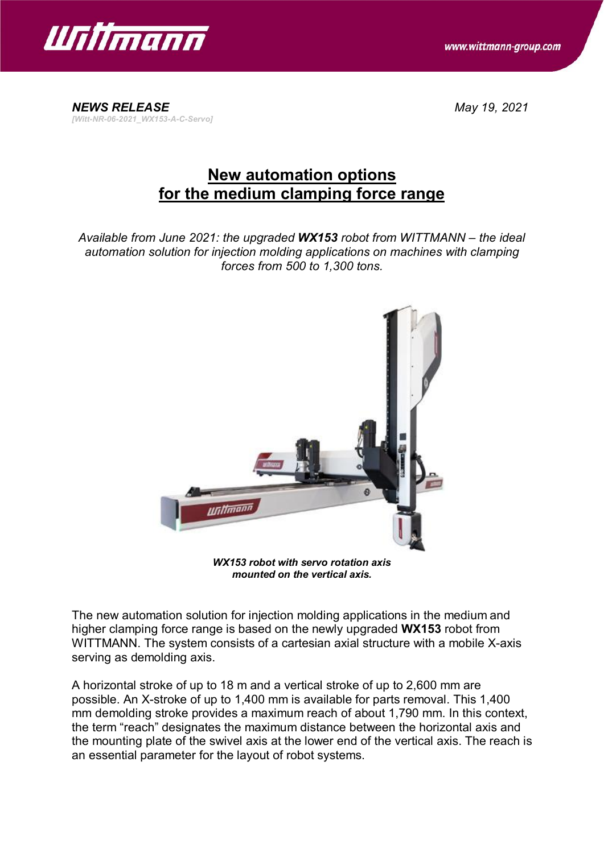





## **New automation options for the medium clamping force range**

*Available from June 2021: the upgraded WX153 robot from WITTMANN – the ideal automation solution for injection molding applications on machines with clamping forces from 500 to 1,300 tons.*



*WX153 robot with servo rotation axis mounted on the vertical axis.*

The new automation solution for injection molding applications in the medium and higher clamping force range is based on the newly upgraded **WX153** robot from WITTMANN. The system consists of a cartesian axial structure with a mobile X-axis serving as demolding axis.

A horizontal stroke of up to 18 m and a vertical stroke of up to 2,600 mm are possible. An X-stroke of up to 1,400 mm is available for parts removal. This 1,400 mm demolding stroke provides a maximum reach of about 1,790 mm. In this context, the term "reach" designates the maximum distance between the horizontal axis and the mounting plate of the swivel axis at the lower end of the vertical axis. The reach is an essential parameter for the layout of robot systems.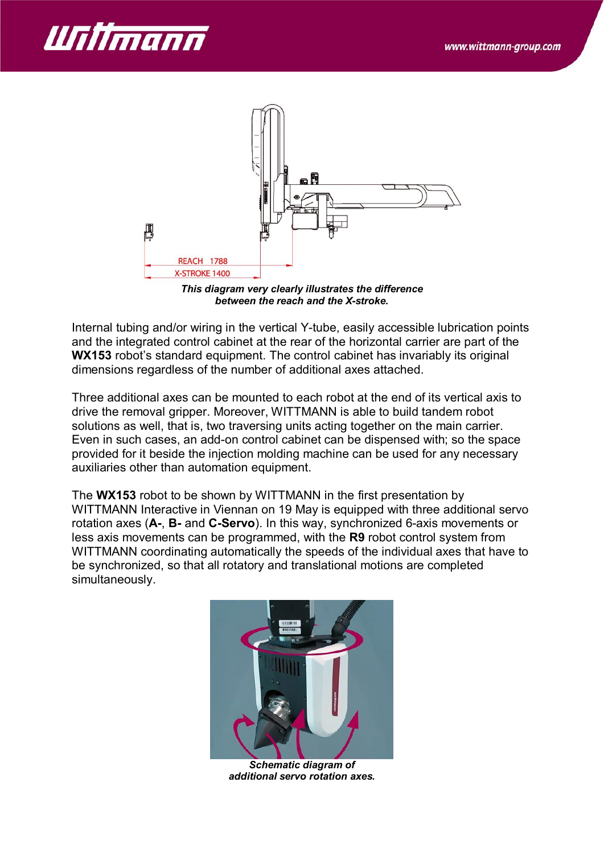



*This diagram very clearly illustrates the difference between the reach and the X-stroke.*

Internal tubing and/or wiring in the vertical Y-tube, easily accessible lubrication points and the integrated control cabinet at the rear of the horizontal carrier are part of the **WX153** robot's standard equipment. The control cabinet has invariably its original dimensions regardless of the number of additional axes attached.

Three additional axes can be mounted to each robot at the end of its vertical axis to drive the removal gripper. Moreover, WITTMANN is able to build tandem robot solutions as well, that is, two traversing units acting together on the main carrier. Even in such cases, an add-on control cabinet can be dispensed with; so the space provided for it beside the injection molding machine can be used for any necessary auxiliaries other than automation equipment.

The **WX153** robot to be shown by WITTMANN in the first presentation by WITTMANN Interactive in Viennan on 19 May is equipped with three additional servo rotation axes (**A-**, **B-** and **C-Servo**). In this way, synchronized 6-axis movements or less axis movements can be programmed, with the **R9** robot control system from WITTMANN coordinating automatically the speeds of the individual axes that have to be synchronized, so that all rotatory and translational motions are completed simultaneously.



*Schematic diagram of additional servo rotation axes.*